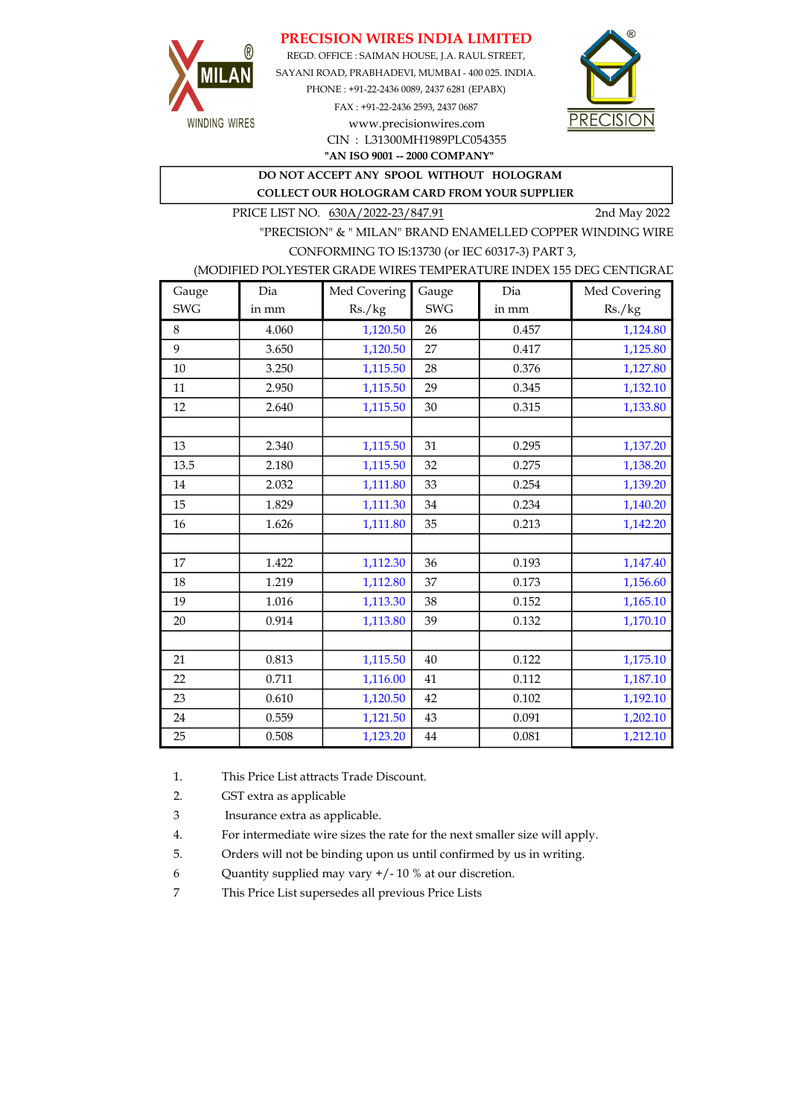#### PRECISION WIRES INDIA LIMITED



REGD. OFFICE : SAIMAN HOUSE, J.A. RAUL STREET, SAYANI ROAD, PRABHADEVI, MUMBAI - 400 025. INDIA. PHONE : +91-22-2436 0089, 2437 6281 (EPABX) FAX : +91-22-2436 2593, 2437 0687 www.precisionwires.com



"AN ISO 9001 -- 2000 COMPANY" CIN : L31300MH1989PLC054355

DO NOT ACCEPT ANY SPOOL WITHOUT HOLOGRAM

COLLECT OUR HOLOGRAM CARD FROM YOUR SUPPLIER

PRICE LIST NO. 630A/2022-23/847.91 2nd May 2022

"PRECISION" & " MILAN" BRAND ENAMELLED COPPER WINDING WIRE CONFORMING TO IS:13730 (or IEC 60317-3) PART 3,

(MODIFIED POLYESTER GRADE WIRES TEMPERATURE INDEX 155 DEG CENTIGRAD

| Gauge      | Dia   | Med Covering | Gauge      | Dia   | Med Covering |
|------------|-------|--------------|------------|-------|--------------|
| <b>SWG</b> | in mm | Rs./kg       | <b>SWG</b> | in mm | Rs./kg       |
| 8          | 4.060 | 1,120.50     | 26         | 0.457 | 1,124.80     |
| 9          | 3.650 | 1,120.50     | 27         | 0.417 | 1,125.80     |
| 10         | 3.250 | 1,115.50     | 28         | 0.376 | 1,127.80     |
| 11         | 2.950 | 1,115.50     | 29         | 0.345 | 1,132.10     |
| 12         | 2.640 | 1,115.50     | 30         | 0.315 | 1,133.80     |
|            |       |              |            |       |              |
| 13         | 2.340 | 1,115.50     | 31         | 0.295 | 1,137.20     |
| 13.5       | 2.180 | 1,115.50     | 32         | 0.275 | 1,138.20     |
| 14         | 2.032 | 1,111.80     | 33         | 0.254 | 1,139.20     |
| 15         | 1.829 | 1,111.30     | 34         | 0.234 | 1,140.20     |
| 16         | 1.626 | 1,111.80     | 35         | 0.213 | 1,142.20     |
|            |       |              |            |       |              |
| 17         | 1.422 | 1,112.30     | 36         | 0.193 | 1,147.40     |
| 18         | 1.219 | 1,112.80     | 37         | 0.173 | 1,156.60     |
| 19         | 1.016 | 1,113.30     | 38         | 0.152 | 1,165.10     |
| 20         | 0.914 | 1,113.80     | 39         | 0.132 | 1,170.10     |
|            |       |              |            |       |              |
| 21         | 0.813 | 1,115.50     | 40         | 0.122 | 1,175.10     |
| 22         | 0.711 | 1,116.00     | 41         | 0.112 | 1,187.10     |
| 23         | 0.610 | 1,120.50     | 42         | 0.102 | 1,192.10     |
| 24         | 0.559 | 1,121.50     | 43         | 0.091 | 1,202.10     |
| 25         | 0.508 | 1,123.20     | $\bf 44$   | 0.081 | 1,212.10     |

1. This Price List attracts Trade Discount.

2. GST extra as applicable

3 Insurance extra as applicable.

4. For intermediate wire sizes the rate for the next smaller size will apply.

5. Orders will not be binding upon us until confirmed by us in writing.

6 Quantity supplied may vary +/- 10 % at our discretion.

7 This Price List supersedes all previous Price Lists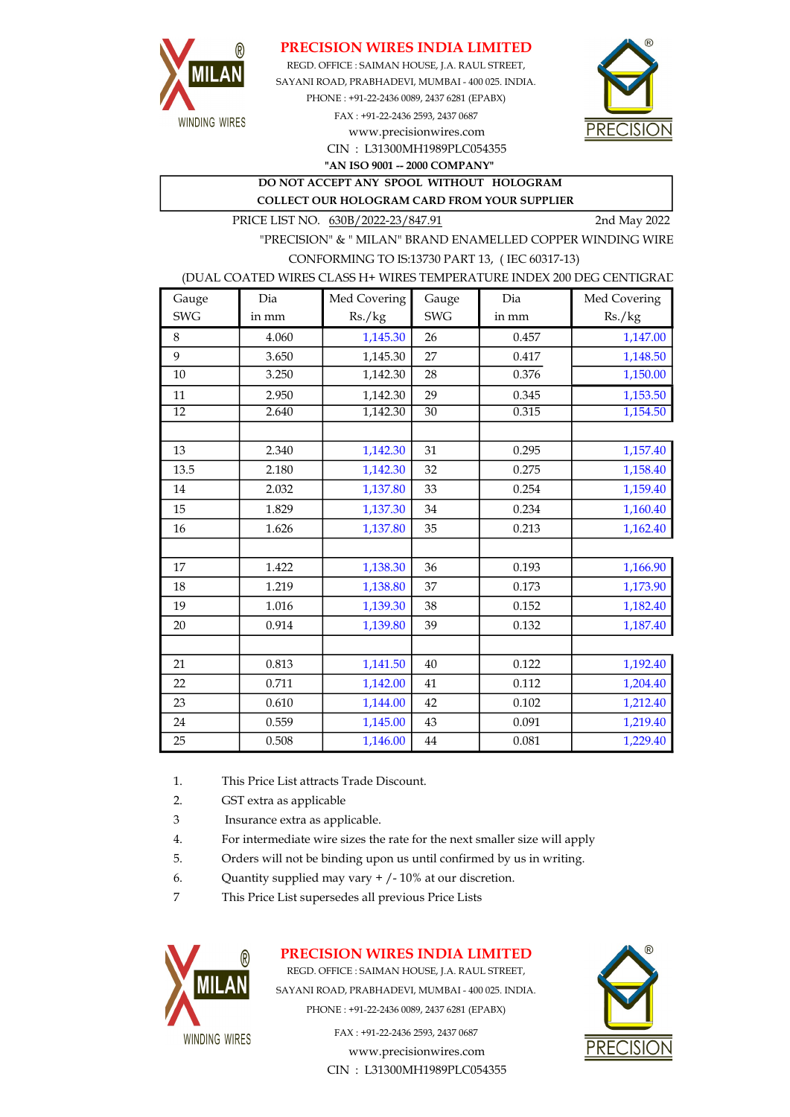

#### PRECISION WIRES INDIA LIMITED

SAYANI ROAD, PRABHADEVI, MUMBAI - 400 025. INDIA. PHONE : +91-22-2436 0089, 2437 6281 (EPABX) FAX : +91-22-2436 2593, 2437 0687 www.precisionwires.com REGD. OFFICE : SAIMAN HOUSE, J.A. RAUL STREET,



CIN : L31300MH1989PLC054355 "AN ISO 9001 -- 2000 COMPANY"

DO NOT ACCEPT ANY SPOOL WITHOUT HOLOGRAM COLLECT OUR HOLOGRAM CARD FROM YOUR SUPPLIER

PRICE LIST NO. 630B/2022-23/847.91 2nd May 2022

"PRECISION" & " MILAN" BRAND ENAMELLED COPPER WINDING WIRE CONFORMING TO IS:13730 PART 13, ( IEC 60317-13)

#### (DUAL COATED WIRES CLASS H+ WIRES TEMPERATURE INDEX 200 DEG CENTIGRAD

| Gauge           | Dia   | Med Covering | Gauge           | Dia   | Med Covering |
|-----------------|-------|--------------|-----------------|-------|--------------|
| <b>SWG</b>      | in mm | Rs./kg       | <b>SWG</b>      | in mm | Rs./kg       |
| 8               | 4.060 | 1,145.30     | 26              | 0.457 | 1,147.00     |
| 9               | 3.650 | 1,145.30     | 27              | 0.417 | 1,148.50     |
| 10              | 3.250 | 1,142.30     | 28              | 0.376 | 1,150.00     |
| 11              | 2.950 | 1,142.30     | 29              | 0.345 | 1,153.50     |
| $\overline{12}$ | 2.640 | 1,142.30     | $\overline{30}$ | 0.315 | 1,154.50     |
|                 |       |              |                 |       |              |
| 13              | 2.340 | 1,142.30     | 31              | 0.295 | 1,157.40     |
| 13.5            | 2.180 | 1,142.30     | 32              | 0.275 | 1,158.40     |
| 14              | 2.032 | 1,137.80     | 33              | 0.254 | 1,159.40     |
| 15              | 1.829 | 1,137.30     | 34              | 0.234 | 1,160.40     |
| 16              | 1.626 | 1,137.80     | 35              | 0.213 | 1,162.40     |
|                 |       |              |                 |       |              |
| 17              | 1.422 | 1,138.30     | 36              | 0.193 | 1,166.90     |
| 18              | 1.219 | 1,138.80     | 37              | 0.173 | 1,173.90     |
| 19              | 1.016 | 1,139.30     | 38              | 0.152 | 1,182.40     |
| 20              | 0.914 | 1,139.80     | 39              | 0.132 | 1,187.40     |
|                 |       |              |                 |       |              |
| 21              | 0.813 | 1,141.50     | 40              | 0.122 | 1,192.40     |
| 22              | 0.711 | 1,142.00     | 41              | 0.112 | 1,204.40     |
| 23              | 0.610 | 1,144.00     | 42              | 0.102 | 1,212.40     |
| 24              | 0.559 | 1,145.00     | 43              | 0.091 | 1,219.40     |
| 25              | 0.508 | 1,146.00     | 44              | 0.081 | 1,229.40     |

- 1. This Price List attracts Trade Discount.
- 2. GST extra as applicable
- 3 Insurance extra as applicable.
- 4. For intermediate wire sizes the rate for the next smaller size will apply
- 5. Orders will not be binding upon us until confirmed by us in writing.
- 6. Quantity supplied may vary  $+/-10\%$  at our discretion.
- 7 This Price List supersedes all previous Price Lists



# PRECISION WIRES INDIA LIMITED

REGD. OFFICE : SAIMAN HOUSE, J.A. RAUL STREET, SAYANI ROAD, PRABHADEVI, MUMBAI - 400 025. INDIA. PHONE : +91-22-2436 0089, 2437 6281 (EPABX)

> FAX : +91-22-2436 2593, 2437 0687 www.precisionwires.com CIN : L31300MH1989PLC054355